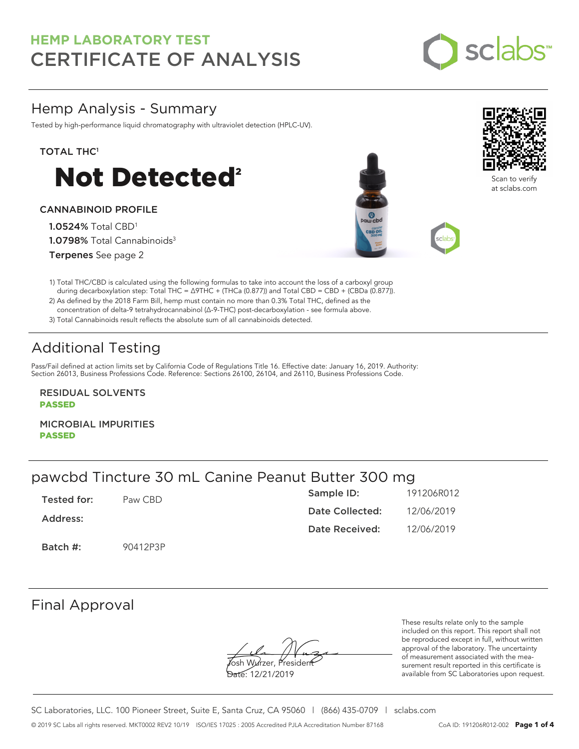

## Hemp Analysis - Summary

Tested by high-performance liquid chromatography with ultraviolet detection (HPLC-UV).

### TOTAL THC<sup>1</sup>



### CANNABINOID PROFILE

1.0524% Total CBD<sup>1</sup> 1.0798% Total Cannabinoids<sup>3</sup> Terpenes See page 2





ຈີcan to verify at sclabs.com

- 1) Total THC/CBD is calculated using the following formulas to take into account the loss of a carboxyl group during decarboxylation step: Total THC = ∆9THC + (THCa (0.877)) and Total CBD = CBD + (CBDa (0.877)).
- 2) As defined by the 2018 Farm Bill, hemp must contain no more than 0.3% Total THC, defined as the concentration of delta-9 tetrahydrocannabinol (Δ-9-THC) post-decarboxylation - see formula above.
- 3) Total Cannabinoids result reflects the absolute sum of all cannabinoids detected.

# Additional Testing

Pass/Fail defined at action limits set by California Code of Regulations Title 16. Effective date: January 16, 2019. Authority: Section 26013, Business Professions Code. Reference: Sections 26100, 26104, and 26110, Business Professions Code.

RESIDUAL SOLVENTS PASSED

MICROBIAL IMPURITIES PASSED

## pawcbd Tincture 30 mL Canine Peanut Butter 300 mg

| Tested for: | Paw CBD  | Sample ID:      | 191206R012 |
|-------------|----------|-----------------|------------|
| Address:    |          | Date Collected: | 12/06/2019 |
|             |          | Date Received:  | 12/06/2019 |
| Batch #:    | 90412P3P |                 |            |

## Final Approval

**J**osh Wurzer, Presiden<del>t</del>

Date: 12/21/2019

These results relate only to the sample included on this report. This report shall not be reproduced except in full, without written approval of the laboratory. The uncertainty of measurement associated with the measurement result reported in this certificate is available from SC Laboratories upon request.

SC Laboratories, LLC. 100 Pioneer Street, Suite E, Santa Cruz, CA 95060 | (866) 435-0709 | sclabs.com © 2019 SC Labs all rights reserved. MKT0002 REV2 10/19 ISO/IES 17025 : 2005 Accredited PJLA Accreditation Number 87168 CoA ID: 191206R012-002 **Page 1 of 4**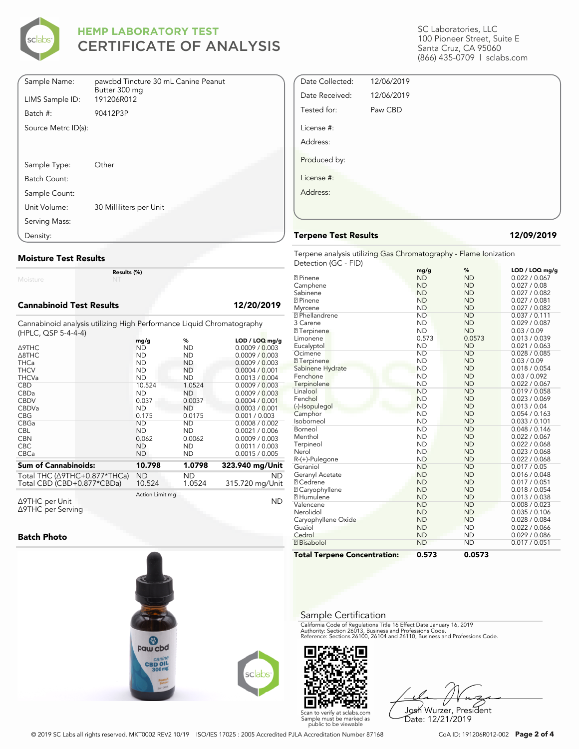

| Sample Name:        | pawcbd Tincture 30 mL Canine Peanut<br>Butter 300 mg |
|---------------------|------------------------------------------------------|
| LIMS Sample ID:     | 191206R012                                           |
| Batch #:            | 90412P3P                                             |
| Source Metrc ID(s): |                                                      |
|                     |                                                      |
|                     |                                                      |
| Sample Type:        | Other                                                |
| Batch Count:        |                                                      |
| Sample Count:       |                                                      |
| Unit Volume:        | 30 Milliliters per Unit                              |
| Serving Mass:       |                                                      |
| Density:            |                                                      |

### **Moisture Test Results**

Moisture

**Results (%)**

### **Cannabinoid Test Results 12/20/2019**

Cannabinoid analysis utilizing High Performance Liquid Chromatography (HPLC, QSP 5-4-4-4)

|                                                                        | mg/g            | %             | $LOD / LOQ$ mg/g             |
|------------------------------------------------------------------------|-----------------|---------------|------------------------------|
| ∆9THC                                                                  | ND              | ND            | 0.0009 / 0.003               |
| $\triangle$ 8THC                                                       | ND              | ND            | 0.0009 / 0.003               |
| <b>THCa</b>                                                            | <b>ND</b>       | ND.           | 0.0009 / 0.003               |
| <b>THCV</b>                                                            | ND              | ND            | 0.0004 / 0.001               |
| <b>THCVa</b>                                                           | <b>ND</b>       | <b>ND</b>     | 0.0013 / 0.004               |
| <b>CBD</b>                                                             | 10.524          | 1.0524        | 0.0009 / 0.003               |
| CBDa                                                                   | <b>ND</b>       | ND            | 0.0009 / 0.003               |
| <b>CBDV</b>                                                            | 0.037           | 0.0037        | 0.0004 / 0.001               |
| <b>CBDVa</b>                                                           | <b>ND</b>       | <b>ND</b>     | 0.0003 / 0.001               |
| <b>CBG</b>                                                             | 0.175           | 0.0175        | 0.001 / 0.003                |
| <b>CBGa</b>                                                            | <b>ND</b>       | ND            | 0.0008 / 0.002               |
| <b>CBL</b>                                                             | ND              | ND.           | 0.0021 / 0.006               |
| <b>CBN</b>                                                             | 0.062           | 0.0062        | 0.0009 / 0.003               |
| <b>CBC</b>                                                             | <b>ND</b>       | ND.           | 0.0011 / 0.003               |
| <b>CBCa</b>                                                            | <b>ND</b>       | ND            | 0.0015 / 0.005               |
| <b>Sum of Cannabinoids:</b>                                            | 10.798          | 1.0798        | 323.940 mg/Unit              |
|                                                                        |                 |               |                              |
| Total THC ( $\triangle$ 9THC+0.877*THCa)<br>Total CBD (CBD+0.877*CBDa) | ND<br>10.524    | ND.<br>1.0524 | <b>ND</b><br>315.720 mg/Unit |
|                                                                        | Action Limit mg |               |                              |
| Δ9THC per Unit                                                         |                 |               | ND                           |

Δ9THC per Unit Δ9THC per Serving

### **Batch Photo**



SC Laboratories, LLC 100 Pioneer Street, Suite E Santa Cruz, CA 95060 (866) 435-0709 | sclabs.com

| Date Collected: | 12/06/2019 |  |
|-----------------|------------|--|
| Date Received:  | 12/06/2019 |  |
| Tested for:     | Paw CBD    |  |
| License #:      |            |  |
| Address:        |            |  |
| Produced by:    |            |  |
| License #:      |            |  |
| Address:        |            |  |
|                 |            |  |
|                 |            |  |

### **Terpene Test Results 12/09/2019**

Terpene analysis utilizing Gas Chromatography - Flame Ionization Detection (GC - FID)

|                                     | mg/g      | %         | LOD / LOQ mg/g |
|-------------------------------------|-----------|-----------|----------------|
| <b>2</b> Pinene                     | <b>ND</b> | <b>ND</b> | 0.022 / 0.067  |
| Camphene                            | <b>ND</b> | <b>ND</b> | 0.027 / 0.08   |
| Sabinene                            | <b>ND</b> | <b>ND</b> | 0.027 / 0.082  |
| <b>2</b> Pinene                     | <b>ND</b> | <b>ND</b> | 0.027 / 0.081  |
| Myrcene                             | <b>ND</b> | <b>ND</b> | 0.027 / 0.082  |
| <sup>2</sup> Phellandrene           | <b>ND</b> | <b>ND</b> | 0.037 / 0.111  |
| 3 Carene                            | <b>ND</b> | <b>ND</b> | 0.029 / 0.087  |
| <b>7</b> Terpinene                  | <b>ND</b> | <b>ND</b> | 0.03 / 0.09    |
| Limonene                            | 0.573     | 0.0573    | 0.013 / 0.039  |
| Eucalyptol                          | <b>ND</b> | <b>ND</b> | 0.021 / 0.063  |
| Ocimene                             | <b>ND</b> | <b>ND</b> | 0.028 / 0.085  |
| <b>7</b> Terpinene                  | <b>ND</b> | <b>ND</b> | 0.03 / 0.09    |
| Sabinene Hydrate                    | <b>ND</b> | <b>ND</b> | 0.018 / 0.054  |
| Fenchone                            | <b>ND</b> | <b>ND</b> | 0.03 / 0.092   |
| Terpinolene                         | <b>ND</b> | <b>ND</b> | 0.022 / 0.067  |
| Linalool                            | <b>ND</b> | <b>ND</b> | 0.019 / 0.058  |
| Fenchol                             | <b>ND</b> | <b>ND</b> | 0.023 / 0.069  |
| (-)-Isopulegol                      | <b>ND</b> | <b>ND</b> | 0.013 / 0.04   |
| Camphor                             | <b>ND</b> | <b>ND</b> | 0.054 / 0.163  |
| Isoborneol                          | <b>ND</b> | <b>ND</b> | 0.033 / 0.101  |
| Borneol                             | <b>ND</b> | <b>ND</b> | 0.048 / 0.146  |
| Menthol                             | <b>ND</b> | <b>ND</b> | 0.022 / 0.067  |
| Terpineol                           | <b>ND</b> | <b>ND</b> | 0.022 / 0.068  |
| Nerol                               | <b>ND</b> | <b>ND</b> | 0.023 / 0.068  |
| R-(+)-Pulegone                      | <b>ND</b> | <b>ND</b> | 0.022 / 0.068  |
| Geraniol                            | <b>ND</b> | <b>ND</b> | 0.017 / 0.05   |
| Geranyl Acetate                     | <b>ND</b> | <b>ND</b> | 0.016 / 0.048  |
| <b>7 Cedrene</b>                    | <b>ND</b> | <b>ND</b> | 0.017 / 0.051  |
| <b>2 Caryophyllene</b>              | <b>ND</b> | <b>ND</b> | 0.018 / 0.054  |
| <b>7 Humulene</b>                   | <b>ND</b> | <b>ND</b> | 0.013 / 0.038  |
| Valencene                           | <b>ND</b> | <b>ND</b> | 0.008 / 0.023  |
| Nerolidol                           | <b>ND</b> | <b>ND</b> | 0.035 / 0.106  |
| Caryophyllene Oxide                 | <b>ND</b> | <b>ND</b> | 0.028 / 0.084  |
| Guaiol                              | <b>ND</b> | <b>ND</b> | 0.022 / 0.066  |
| Cedrol                              | <b>ND</b> | <b>ND</b> | 0.029 / 0.086  |
| <b>7</b> Bisabolol                  | <b>ND</b> | <b>ND</b> | 0.017 / 0.051  |
| <b>Total Terpene Concentration:</b> | 0.573     | 0.0573    |                |

### Sample Certification

California Code of Regulations Title 16 Effect Date January 16, 2019<br>Authority: Section 26013, Business and Professions Code.<br>Reference: Sections 26100, 26104 and 26110, Business and Professions Code.



Josh Wurzer, President Date: 12/21/2019

© 2019 SC Labs all rights reserved. MKT0002 REV2 10/19 ISO/IES 17025 : 2005 Accredited PJLA Accreditation Number 87168 CoA ID: 191206R012-002 **Page 2 of 4**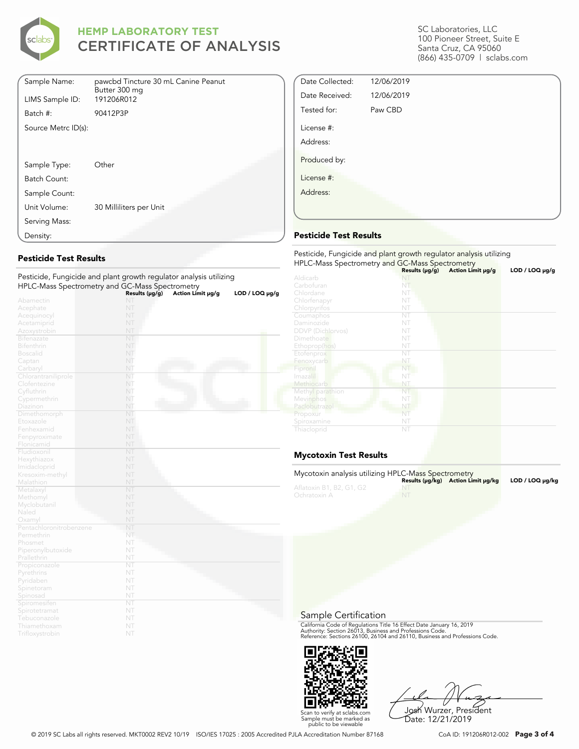

| Sample Name:        | pawcbd Tincture 30 mL Canine Peanut |
|---------------------|-------------------------------------|
| LIMS Sample ID:     | Butter 300 mg<br>191206R012         |
| Batch #:            | 90412P3P                            |
| Source Metrc ID(s): |                                     |
|                     |                                     |
|                     |                                     |
| Sample Type:        | Other                               |
| Batch Count:        |                                     |
| Sample Count:       |                                     |
| Unit Volume:        | 30 Milliliters per Unit             |
| Serving Mass:       |                                     |
| Density:            |                                     |

### **Pesticide Test Results**

|                              | Pesticide, Fungicide and plant growth regulator analysis utilizing |                   |                     |
|------------------------------|--------------------------------------------------------------------|-------------------|---------------------|
|                              | HPLC-Mass Spectrometry and GC-Mass Spectrometry                    |                   |                     |
|                              | Results (µg/g)                                                     | Action Limit µg/g | $LOD / LOQ \mu g/g$ |
| Abamectin                    | NT                                                                 |                   |                     |
| Acephate                     | NT                                                                 |                   |                     |
| Acequinocyl                  | NT                                                                 |                   |                     |
| Acetamiprid                  | NT                                                                 |                   |                     |
| Azoxystrobin                 | NT                                                                 |                   |                     |
| Bifenazate                   | NT                                                                 |                   |                     |
| <b>Bifenthrin</b>            | NT                                                                 |                   |                     |
| <b>Boscalid</b>              | NT                                                                 |                   |                     |
| Captan                       | NT                                                                 |                   |                     |
| Carbaryl                     | NT                                                                 |                   |                     |
| Chlorantraniliprole          | NT                                                                 |                   |                     |
| Clofentezine                 | NT                                                                 |                   |                     |
| Cyfluthrin                   | NT                                                                 |                   |                     |
| Cypermethrin                 | NT                                                                 |                   |                     |
| Diazinon                     | NT                                                                 |                   |                     |
| Dimethomorph                 | NT                                                                 |                   |                     |
| Etoxazole                    | NT                                                                 |                   |                     |
| Fenhexamid                   | NT                                                                 |                   |                     |
| Fenpyroximate                | NT<br>NT                                                           |                   |                     |
| Flonicamid                   | NT                                                                 |                   |                     |
| Fludioxonil                  | NT                                                                 |                   |                     |
| Hexythiazox<br>Imidacloprid  | NT                                                                 |                   |                     |
|                              | NT                                                                 |                   |                     |
| Kresoxim-methyl<br>Malathion | NT                                                                 |                   |                     |
| Metalaxyl                    | NT                                                                 |                   |                     |
| Methomyl                     | NT                                                                 |                   |                     |
| Myclobutanil                 | NT                                                                 |                   |                     |
| Naled                        | NT                                                                 |                   |                     |
| Oxamyl                       | NT                                                                 |                   |                     |
| Pentachloronitrobenzene      | NT                                                                 |                   |                     |
| Permethrin                   | NT                                                                 |                   |                     |
| Phosmet                      | NT                                                                 |                   |                     |
| Piperonylbutoxide            | NT                                                                 |                   |                     |
| Prallethrin                  | NT                                                                 |                   |                     |
| Propiconazole                | NT                                                                 |                   |                     |
| Pyrethrins                   | NT                                                                 |                   |                     |
| Pyridaben                    | NT                                                                 |                   |                     |
| Spinetoram                   | NT                                                                 |                   |                     |
| Spinosad                     | NT                                                                 |                   |                     |
| Spiromesifen                 | NT                                                                 |                   |                     |
| Spirotetramat                | NT                                                                 |                   |                     |
| Tebuconazole                 | NT                                                                 |                   |                     |
| Thiamethoxam                 | NT                                                                 |                   |                     |
| Trifloxystrobin              | NT                                                                 |                   |                     |

SC Laboratories, LLC 100 Pioneer Street, Suite E Santa Cruz, CA 95060 (866) 435-0709 | sclabs.com

| Date Collected: | 12/06/2019 |  |
|-----------------|------------|--|
| Date Received:  | 12/06/2019 |  |
| Tested for:     | Paw CBD    |  |
| License #:      |            |  |
| Address:        |            |  |
| Produced by:    |            |  |
| License #:      |            |  |
| Address:        |            |  |
|                 |            |  |
|                 |            |  |

### **Pesticide Test Results**

| Pesticide, Fungicide and plant growth regulator analysis utilizing<br>HPLC-Mass Spectrometry and GC-Mass Spectrometry |                     |                   |                     |  |
|-----------------------------------------------------------------------------------------------------------------------|---------------------|-------------------|---------------------|--|
|                                                                                                                       | Results $(\mu g/g)$ | Action Limit µg/g | $LOD / LOQ \mu g/g$ |  |
| Aldicarb                                                                                                              |                     |                   |                     |  |
| Carbofuran                                                                                                            | NT                  |                   |                     |  |
| Chlordane                                                                                                             | NT                  |                   |                     |  |
| Chlorfenapyr                                                                                                          | NT                  |                   |                     |  |
| Chlorpyrifos                                                                                                          | NT                  |                   |                     |  |
| Coumaphos                                                                                                             | NT                  |                   |                     |  |
| Daminozide                                                                                                            | NT                  |                   |                     |  |
| <b>DDVP</b> (Dichlorvos)                                                                                              | NT                  |                   |                     |  |
| Dimethoate                                                                                                            | NT                  |                   |                     |  |
| Ethoprop(hos)                                                                                                         | NT                  |                   |                     |  |
| Etofenprox                                                                                                            | NT                  |                   |                     |  |
| Fenoxycarb                                                                                                            | NT                  |                   |                     |  |
| Fipronil                                                                                                              | NT                  |                   |                     |  |
| Imazalil                                                                                                              | NT                  |                   |                     |  |
| Methiocarb                                                                                                            | NT                  |                   |                     |  |
| Methyl parathion                                                                                                      | NT                  |                   |                     |  |
| Mevinphos                                                                                                             | NT                  |                   |                     |  |
| Paclobutrazol                                                                                                         | NT                  |                   |                     |  |
| Propoxur                                                                                                              | NT                  |                   |                     |  |
| Spiroxamine                                                                                                           | NT                  |                   |                     |  |
| Thiacloprid                                                                                                           | NT                  |                   |                     |  |

### **Mycotoxin Test Results**

| Mycotoxin analysis utilizing HPLC-Mass Spectrometry |           | Results (µq/kq) Action Limit µq/kq | LOD / LOQ µq/kg |
|-----------------------------------------------------|-----------|------------------------------------|-----------------|
| Aflatoxin B1, B2, G1, G2<br>Ochratoxin A            | <b>NT</b> |                                    |                 |

Sample Certification

California Code of Regulations Title 16 Effect Date January 16, 2019<br>Authority: Section 26013, Business and Professions Code.<br>Reference: Sections 26100, 26104 and 26110, Business and Professions Code.



Josh Wurzer, President Date: 12/21/2019

© 2019 SC Labs all rights reserved. MKT0002 REV2 10/19 ISO/IES 17025 : 2005 Accredited PJLA Accreditation Number 87168 CoA ID: 191206R012-002 **Page 3 of 4**